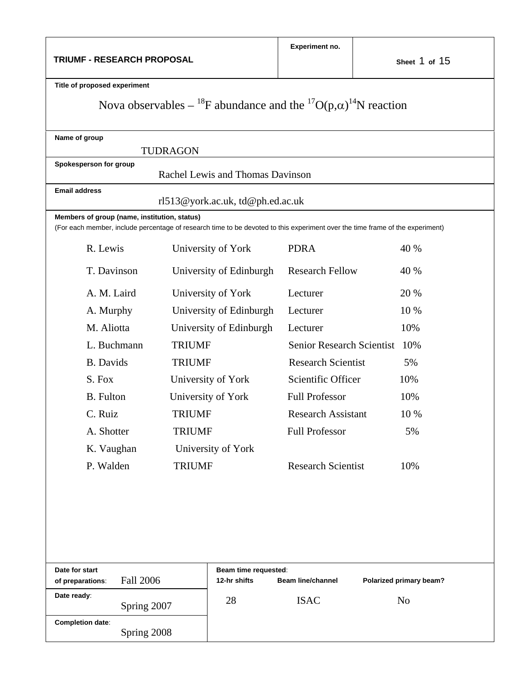| TRIUMF - RESEARCH PROPOSAL                                                                                                                                                    |                         | Experiment no.          | Sheet 1 of 15                    |                         |  |  |  |
|-------------------------------------------------------------------------------------------------------------------------------------------------------------------------------|-------------------------|-------------------------|----------------------------------|-------------------------|--|--|--|
| Title of proposed experiment                                                                                                                                                  |                         |                         |                                  |                         |  |  |  |
| Nova observables – <sup>18</sup> F abundance and the <sup>17</sup> O(p, $\alpha$ ) <sup>14</sup> N reaction                                                                   |                         |                         |                                  |                         |  |  |  |
| Name of group                                                                                                                                                                 | <b>TUDRAGON</b>         |                         |                                  |                         |  |  |  |
| Spokesperson for group<br>Rachel Lewis and Thomas Davinson                                                                                                                    |                         |                         |                                  |                         |  |  |  |
| <b>Email address</b><br>rl513@york.ac.uk, td@ph.ed.ac.uk                                                                                                                      |                         |                         |                                  |                         |  |  |  |
| Members of group (name, institution, status)<br>(For each member, include percentage of research time to be devoted to this experiment over the time frame of the experiment) |                         |                         |                                  |                         |  |  |  |
| R. Lewis                                                                                                                                                                      | University of York      |                         | <b>PDRA</b>                      | 40 %                    |  |  |  |
| T. Davinson                                                                                                                                                                   | University of Edinburgh |                         | <b>Research Fellow</b>           | 40 %                    |  |  |  |
| A. M. Laird                                                                                                                                                                   | University of York      |                         | Lecturer                         | 20 %                    |  |  |  |
| A. Murphy                                                                                                                                                                     |                         | University of Edinburgh |                                  | 10 %                    |  |  |  |
| M. Aliotta                                                                                                                                                                    |                         | University of Edinburgh |                                  | 10%                     |  |  |  |
| L. Buchmann                                                                                                                                                                   | <b>TRIUMF</b>           |                         | <b>Senior Research Scientist</b> | 10%                     |  |  |  |
| <b>B.</b> Davids                                                                                                                                                              | <b>TRIUMF</b>           |                         | <b>Research Scientist</b>        | 5%                      |  |  |  |
| S. Fox                                                                                                                                                                        | University of York      |                         | Scientific Officer               | 10%                     |  |  |  |
| <b>B.</b> Fulton                                                                                                                                                              | University of York      |                         | <b>Full Professor</b>            | 10%                     |  |  |  |
| C. Ruiz                                                                                                                                                                       | <b>TRIUMF</b>           |                         | Research Assistant               | 10 %                    |  |  |  |
| A. Shotter                                                                                                                                                                    | <b>TRIUMF</b>           |                         | <b>Full Professor</b>            | 5%                      |  |  |  |
| K. Vaughan<br>University of York                                                                                                                                              |                         |                         |                                  |                         |  |  |  |
| P. Walden                                                                                                                                                                     | <b>TRIUMF</b>           |                         | <b>Research Scientist</b>        | 10%                     |  |  |  |
|                                                                                                                                                                               |                         |                         |                                  |                         |  |  |  |
| Date for start<br>Beam time requested:                                                                                                                                        |                         |                         |                                  |                         |  |  |  |
| <b>Fall 2006</b><br>of preparations:<br>Date ready:                                                                                                                           |                         | 12-hr shifts            | <b>Beam line/channel</b>         | Polarized primary beam? |  |  |  |
| Spring 2007                                                                                                                                                                   |                         | 28                      | <b>ISAC</b>                      | N <sub>o</sub>          |  |  |  |
| <b>Completion date:</b><br>Spring 2008                                                                                                                                        |                         |                         |                                  |                         |  |  |  |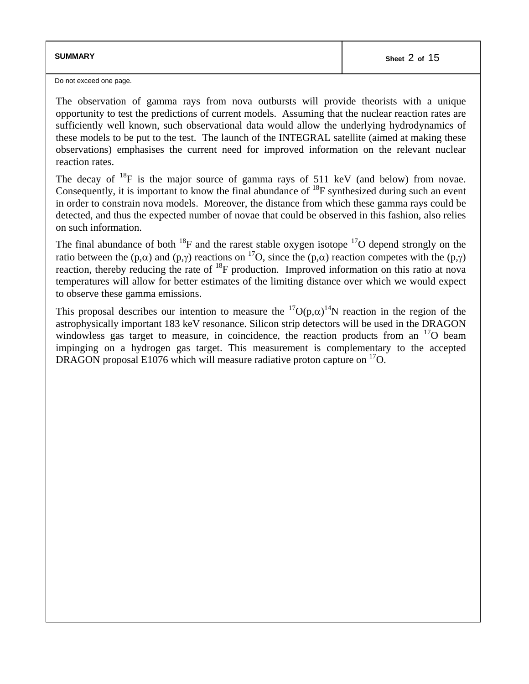| <b>SUMMARY</b> | Sheet 2 of 15 |
|----------------|---------------|
|                |               |

Do not exceed one page.

The observation of gamma rays from nova outbursts will provide theorists with a unique opportunity to test the predictions of current models. Assuming that the nuclear reaction rates are sufficiently well known, such observational data would allow the underlying hydrodynamics of these models to be put to the test. The launch of the INTEGRAL satellite (aimed at making these observations) emphasises the current need for improved information on the relevant nuclear reaction rates.

The decay of  $^{18}F$  is the major source of gamma rays of 511 keV (and below) from novae. Consequently, it is important to know the final abundance of  $^{18}F$  synthesized during such an event in order to constrain nova models. Moreover, the distance from which these gamma rays could be detected, and thus the expected number of novae that could be observed in this fashion, also relies on such information.

The final abundance of both  $^{18}F$  and the rarest stable oxygen isotope  $^{17}O$  depend strongly on the ratio between the (p,α) and (p,γ) reactions on <sup>17</sup>O, since the (p,α) reaction competes with the (p,γ) reaction, thereby reducing the rate of <sup>18</sup>F production. Improved information on this ratio at nova temperatures will allow for better estimates of the limiting distance over which we would expect to observe these gamma emissions.

This proposal describes our intention to measure the  ${}^{17}O(p,\alpha){}^{14}N$  reaction in the region of the astrophysically important 183 keV resonance. Silicon strip detectors will be used in the DRAGON windowless gas target to measure, in coincidence, the reaction products from an  $17$ O beam impinging on a hydrogen gas target. This measurement is complementary to the accepted DRAGON proposal E1076 which will measure radiative proton capture on  $^{17}O$ .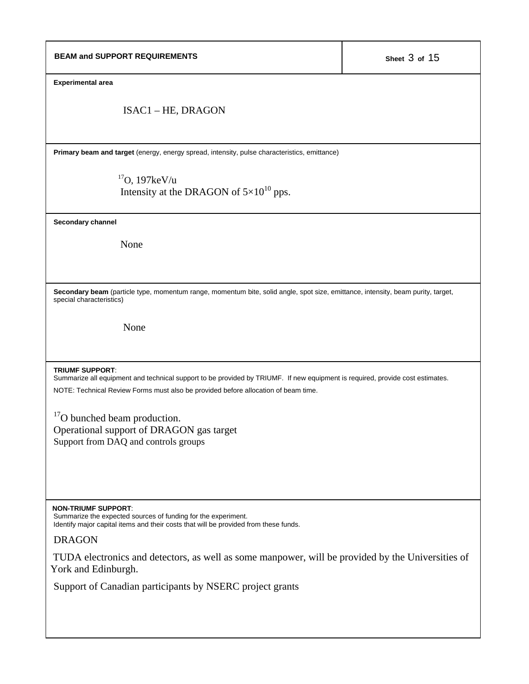| <b>BEAM and SUPPORT REQUIREMENTS</b>                                                                                                                                                                                                          | Sheet 3 of 15 |  |  |  |
|-----------------------------------------------------------------------------------------------------------------------------------------------------------------------------------------------------------------------------------------------|---------------|--|--|--|
| <b>Experimental area</b>                                                                                                                                                                                                                      |               |  |  |  |
| ISAC1 – HE, DRAGON                                                                                                                                                                                                                            |               |  |  |  |
| Primary beam and target (energy, energy spread, intensity, pulse characteristics, emittance)                                                                                                                                                  |               |  |  |  |
| $17$ O, 197 $keV/u$<br>Intensity at the DRAGON of $5\times10^{10}$ pps.                                                                                                                                                                       |               |  |  |  |
| Secondary channel                                                                                                                                                                                                                             |               |  |  |  |
| None                                                                                                                                                                                                                                          |               |  |  |  |
| Secondary beam (particle type, momentum range, momentum bite, solid angle, spot size, emittance, intensity, beam purity, target,<br>special characteristics)                                                                                  |               |  |  |  |
| None                                                                                                                                                                                                                                          |               |  |  |  |
| <b>TRIUMF SUPPORT:</b><br>Summarize all equipment and technical support to be provided by TRIUMF. If new equipment is required, provide cost estimates.<br>NOTE: Technical Review Forms must also be provided before allocation of beam time. |               |  |  |  |
| <sup>17</sup> O bunched beam production.<br>Operational support of DRAGON gas target<br>Support from DAQ and controls groups                                                                                                                  |               |  |  |  |
|                                                                                                                                                                                                                                               |               |  |  |  |
| <b>NON-TRIUMF SUPPORT:</b><br>Summarize the expected sources of funding for the experiment.<br>Identify major capital items and their costs that will be provided from these funds.                                                           |               |  |  |  |
| <b>DRAGON</b>                                                                                                                                                                                                                                 |               |  |  |  |
| TUDA electronics and detectors, as well as some manpower, will be provided by the Universities of<br>York and Edinburgh.                                                                                                                      |               |  |  |  |
| Support of Canadian participants by NSERC project grants                                                                                                                                                                                      |               |  |  |  |
|                                                                                                                                                                                                                                               |               |  |  |  |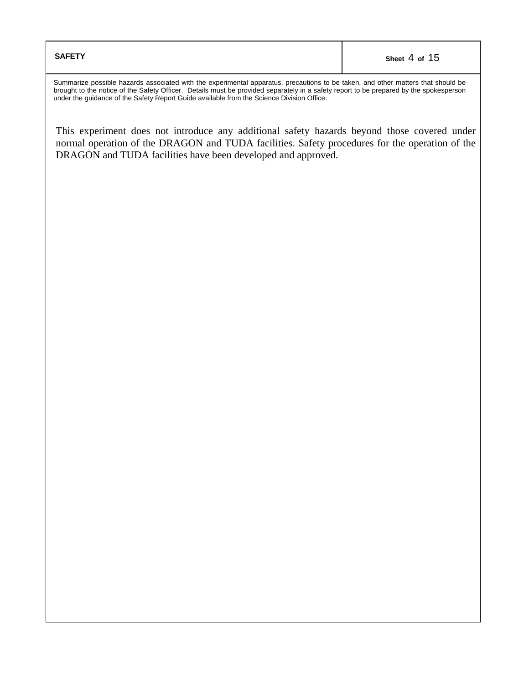Summarize possible hazards associated with the experimental apparatus, precautions to be taken, and other matters that should be brought to the notice of the Safety Officer. Details must be provided separately in a safety report to be prepared by the spokesperson under the guidance of the Safety Report Guide available from the Science Division Office.

This experiment does not introduce any additional safety hazards beyond those covered under normal operation of the DRAGON and TUDA facilities. Safety procedures for the operation of the DRAGON and TUDA facilities have been developed and approved.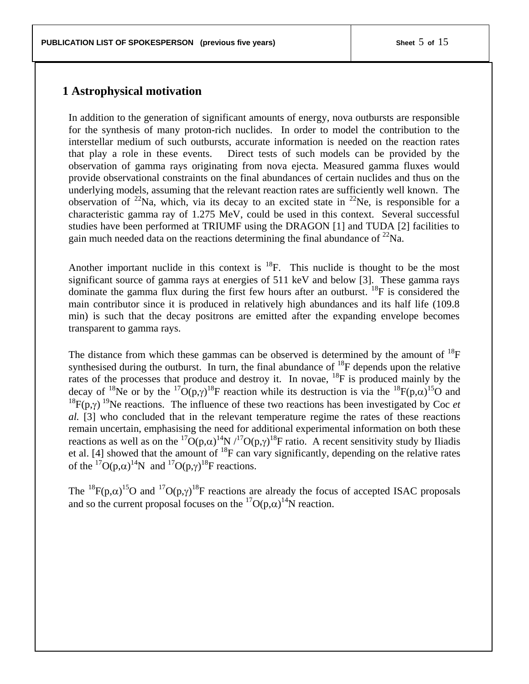### **1 Astrophysical motivation**

In addition to the generation of significant amounts of energy, nova outbursts are responsible for the synthesis of many proton-rich nuclides. In order to model the contribution to the interstellar medium of such outbursts, accurate information is needed on the reaction rates that play a role in these events. Direct tests of such models can be provided by the observation of gamma rays originating from nova ejecta. Measured gamma fluxes would provide observational constraints on the final abundances of certain nuclides and thus on the underlying models, assuming that the relevant reaction rates are sufficiently well known. The observation of <sup>22</sup>Na, which, via its decay to an excited state in <sup>22</sup>Ne, is responsible for a characteristic gamma ray of 1.275 MeV, could be used in this context. Several successful studies have been performed at TRIUMF using the DRAGON [1] and TUDA [2] facilities to gain much needed data on the reactions determining the final abundance of  $^{22}$ Na.

Another important nuclide in this context is  $^{18}F$ . This nuclide is thought to be the most significant source of gamma rays at energies of 511 keV and below [3]. These gamma rays dominate the gamma flux during the first few hours after an outburst.  $^{18}F$  is considered the main contributor since it is produced in relatively high abundances and its half life (109.8 min) is such that the decay positrons are emitted after the expanding envelope becomes transparent to gamma rays.

The distance from which these gammas can be observed is determined by the amount of  $^{18}F$ synthesised during the outburst. In turn, the final abundance of  $^{18}$ F depends upon the relative rates of the processes that produce and destroy it. In novae, <sup>18</sup>F is produced mainly by the decay of <sup>18</sup>Ne or by the <sup>17</sup>O(p, $\gamma$ )<sup>18</sup>F reaction while its destruction is via the <sup>18</sup>F(p, $\alpha$ )<sup>15</sup>O and <sup>18</sup> $F(p,\gamma)$ <sup>19</sup>Ne reactions. The influence of these two reactions has been investigated by Coc *et al.* [3] who concluded that in the relevant temperature regime the rates of these reactions remain uncertain, emphasising the need for additional experimental information on both these reactions as well as on the <sup>17</sup>O(p, $\alpha$ )<sup>14</sup>N /<sup>17</sup>O(p, $\gamma$ )<sup>18</sup>F ratio. A recent sensitivity study by Iliadis et al. [4] showed that the amount of  $^{18}F$  can vary significantly, depending on the relative rates of the <sup>17</sup>O(p, $\alpha$ )<sup>14</sup>N and <sup>17</sup>O(p, $\gamma$ )<sup>18</sup>F reactions.

The <sup>18</sup> $F(p,\alpha)$ <sup>15</sup>O and <sup>17</sup>O(p, $\gamma$ )<sup>18</sup>F reactions are already the focus of accepted ISAC proposals and so the current proposal focuses on the <sup>17</sup>O( $p,\alpha$ )<sup>14</sup>N reaction.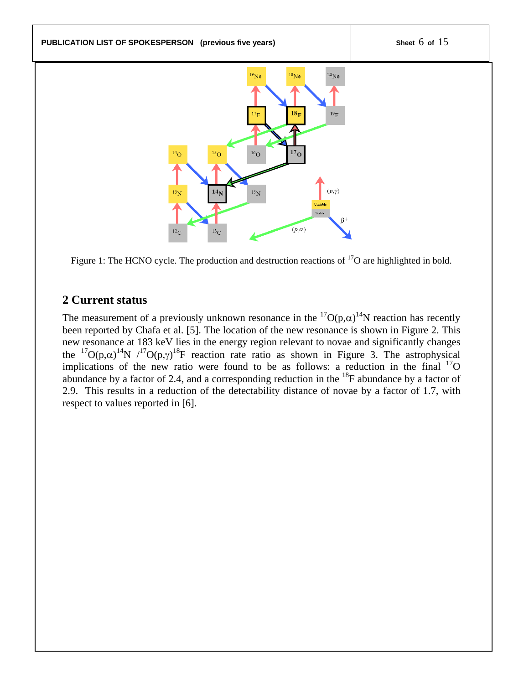

Figure 1: The HCNO cycle. The production and destruction reactions of <sup>17</sup>O are highlighted in bold.

# **2 Current status**

The measurement of a previously unknown resonance in the  ${}^{17}O(p,\alpha){}^{14}N$  reaction has recently been reported by Chafa et al. [5]. The location of the new resonance is shown in Figure 2. This new resonance at 183 keV lies in the energy region relevant to novae and significantly changes the <sup>17</sup>O(p, $\alpha$ )<sup>14</sup>N /<sup>17</sup>O(p, $\gamma$ )<sup>18</sup>F reaction rate ratio as shown in Figure 3. The astrophysical implications of the new ratio were found to be as follows: a reduction in the final  $^{17}O$ abundance by a factor of 2.4, and a corresponding reduction in the  $^{18}$ F abundance by a factor of 2.9. This results in a reduction of the detectability distance of novae by a factor of 1.7, with respect to values reported in [6].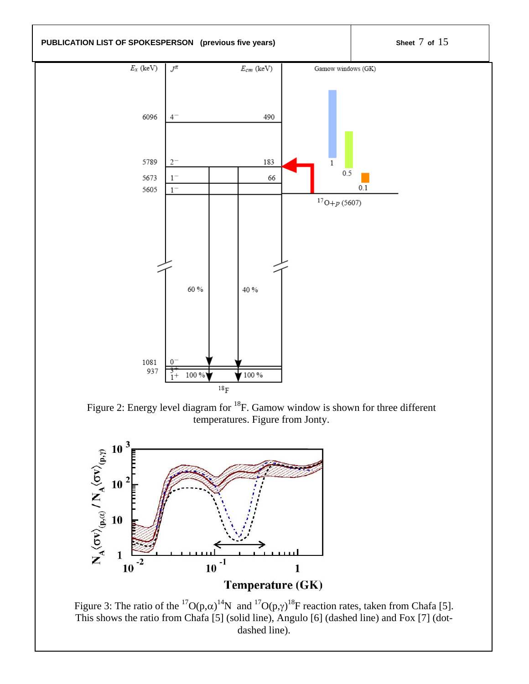**PUBLICATION LIST OF SPOKESPERSON** (previous five years) Sheet 7 of 15



Figure 2: Energy level diagram for <sup>18</sup>F. Gamow window is shown for three different temperatures. Figure from Jonty.



Figure 3: The ratio of the <sup>17</sup>O(p, $\alpha$ )<sup>14</sup>N and <sup>17</sup>O(p, $\gamma$ )<sup>18</sup>F reaction rates, taken from Chafa [5]. This shows the ratio from Chafa [5] (solid line), Angulo [6] (dashed line) and Fox [7] (dotdashed line).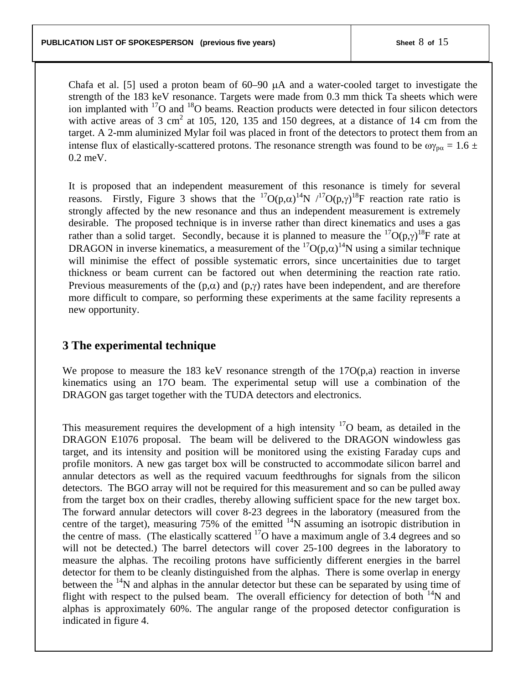Chafa et al. [5] used a proton beam of 60–90 µA and a water-cooled target to investigate the strength of the 183 keV resonance. Targets were made from 0.3 mm thick Ta sheets which were ion implanted with <sup>17</sup>O and <sup>18</sup>O beams. Reaction products were detected in four silicon detectors with active areas of 3 cm<sup>2</sup> at 105, 120, 135 and 150 degrees, at a distance of 14 cm from the target. A 2-mm aluminized Mylar foil was placed in front of the detectors to protect them from an intense flux of elastically-scattered protons. The resonance strength was found to be  $\omega_{\text{p}\alpha} = 1.6 \pm$ 0.2 meV.

It is proposed that an independent measurement of this resonance is timely for several reasons. Firstly, Figure 3 shows that the  ${}^{17}O(p,\alpha){}^{14}N$  / ${}^{17}O(p,\gamma){}^{18}F$  reaction rate ratio is strongly affected by the new resonance and thus an independent measurement is extremely desirable. The proposed technique is in inverse rather than direct kinematics and uses a gas rather than a solid target. Secondly, because it is planned to measure the  ${}^{17}O(p,\gamma){}^{18}F$  rate at DRAGON in inverse kinematics, a measurement of the  ${}^{17}O(p,\alpha){}^{14}N$  using a similar technique will minimise the effect of possible systematic errors, since uncertainities due to target thickness or beam current can be factored out when determining the reaction rate ratio. Previous measurements of the  $(p, \alpha)$  and  $(p, \gamma)$  rates have been independent, and are therefore more difficult to compare, so performing these experiments at the same facility represents a new opportunity.

# **3 The experimental technique**

We propose to measure the 183 keV resonance strength of the  $17O(p,a)$  reaction in inverse kinematics using an 17O beam. The experimental setup will use a combination of the DRAGON gas target together with the TUDA detectors and electronics.

This measurement requires the development of a high intensity  $17$ O beam, as detailed in the DRAGON E1076 proposal. The beam will be delivered to the DRAGON windowless gas target, and its intensity and position will be monitored using the existing Faraday cups and profile monitors. A new gas target box will be constructed to accommodate silicon barrel and annular detectors as well as the required vacuum feedthroughs for signals from the silicon detectors. The BGO array will not be required for this measurement and so can be pulled away from the target box on their cradles, thereby allowing sufficient space for the new target box. The forward annular detectors will cover 8-23 degrees in the laboratory (measured from the centre of the target), measuring 75% of the emitted  $14N$  assuming an isotropic distribution in the centre of mass. (The elastically scattered  $17$ O have a maximum angle of 3.4 degrees and so will not be detected.) The barrel detectors will cover 25-100 degrees in the laboratory to measure the alphas. The recoiling protons have sufficiently different energies in the barrel detector for them to be cleanly distinguished from the alphas. There is some overlap in energy between the <sup>14</sup>N and alphas in the annular detector but these can be separated by using time of flight with respect to the pulsed beam. The overall efficiency for detection of both  $^{14}N$  and alphas is approximately 60%. The angular range of the proposed detector configuration is indicated in figure 4.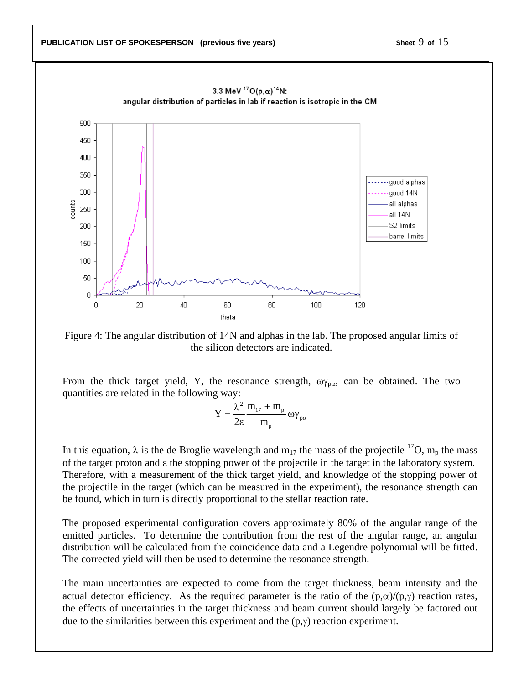

Figure 4: The angular distribution of 14N and alphas in the lab. The proposed angular limits of the silicon detectors are indicated.

From the thick target yield, Y, the resonance strength,  $\omega_{p\alpha}$ , can be obtained. The two quantities are related in the following way:

$$
Y = \frac{\lambda^2}{2\epsilon} \frac{m_{17} + m_p}{m_p} \omega \gamma_{p\alpha}
$$

In this equation,  $\lambda$  is the de Broglie wavelength and m<sub>17</sub> the mass of the projectile <sup>17</sup>O, m<sub>p</sub> the mass of the target proton and ε the stopping power of the projectile in the target in the laboratory system. Therefore, with a measurement of the thick target yield, and knowledge of the stopping power of the projectile in the target (which can be measured in the experiment), the resonance strength can be found, which in turn is directly proportional to the stellar reaction rate.

The proposed experimental configuration covers approximately 80% of the angular range of the emitted particles. To determine the contribution from the rest of the angular range, an angular distribution will be calculated from the coincidence data and a Legendre polynomial will be fitted. The corrected yield will then be used to determine the resonance strength.

The main uncertainties are expected to come from the target thickness, beam intensity and the actual detector efficiency. As the required parameter is the ratio of the  $(p,\alpha)/(p,\gamma)$  reaction rates, the effects of uncertainties in the target thickness and beam current should largely be factored out due to the similarities between this experiment and the  $(p, \gamma)$  reaction experiment.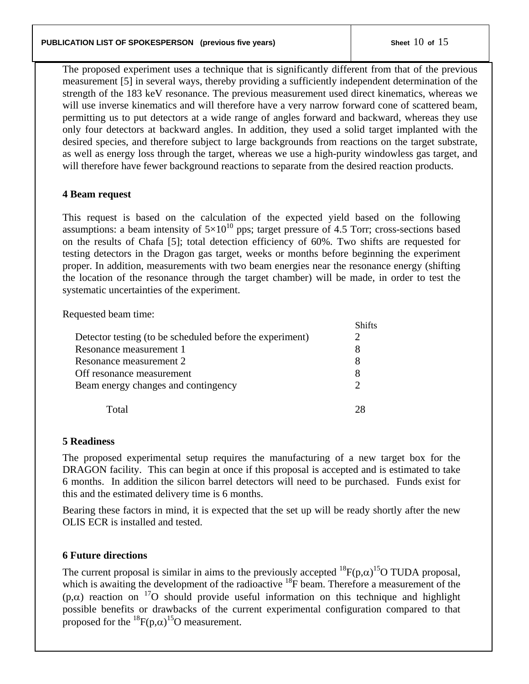The proposed experiment uses a technique that is significantly different from that of the previous measurement [5] in several ways, thereby providing a sufficiently independent determination of the strength of the 183 keV resonance. The previous measurement used direct kinematics, whereas we will use inverse kinematics and will therefore have a very narrow forward cone of scattered beam, permitting us to put detectors at a wide range of angles forward and backward, whereas they use only four detectors at backward angles. In addition, they used a solid target implanted with the desired species, and therefore subject to large backgrounds from reactions on the target substrate, as well as energy loss through the target, whereas we use a high-purity windowless gas target, and will therefore have fewer background reactions to separate from the desired reaction products.

# **4 Beam request**

This request is based on the calculation of the expected yield based on the following assumptions: a beam intensity of  $5\times10^{10}$  pps; target pressure of 4.5 Torr; cross-sections based on the results of Chafa [5]; total detection efficiency of 60%. Two shifts are requested for testing detectors in the Dragon gas target, weeks or months before beginning the experiment proper. In addition, measurements with two beam energies near the resonance energy (shifting the location of the resonance through the target chamber) will be made, in order to test the systematic uncertainties of the experiment.

Requested beam time:

|                                                          | Shifts        |
|----------------------------------------------------------|---------------|
| Detector testing (to be scheduled before the experiment) |               |
| Resonance measurement 1                                  | 8             |
| Resonance measurement 2                                  |               |
| Off resonance measurement                                |               |
| Beam energy changes and contingency                      | $\mathcal{D}$ |
|                                                          |               |
| $\Gamma$ otal                                            |               |

## **5 Readiness**

The proposed experimental setup requires the manufacturing of a new target box for the DRAGON facility. This can begin at once if this proposal is accepted and is estimated to take 6 months. In addition the silicon barrel detectors will need to be purchased. Funds exist for this and the estimated delivery time is 6 months.

Bearing these factors in mind, it is expected that the set up will be ready shortly after the new OLIS ECR is installed and tested.

## **6 Future directions**

The current proposal is similar in aims to the previously accepted  ${}^{18}F(p,\alpha){}^{15}O$  TUDA proposal, which is awaiting the development of the radioactive  $^{18}$ F beam. Therefore a measurement of the  $(p,\alpha)$  reaction on <sup>17</sup>O should provide useful information on this technique and highlight possible benefits or drawbacks of the current experimental configuration compared to that proposed for the  ${}^{18}F(p,\alpha){}^{15}O$  measurement.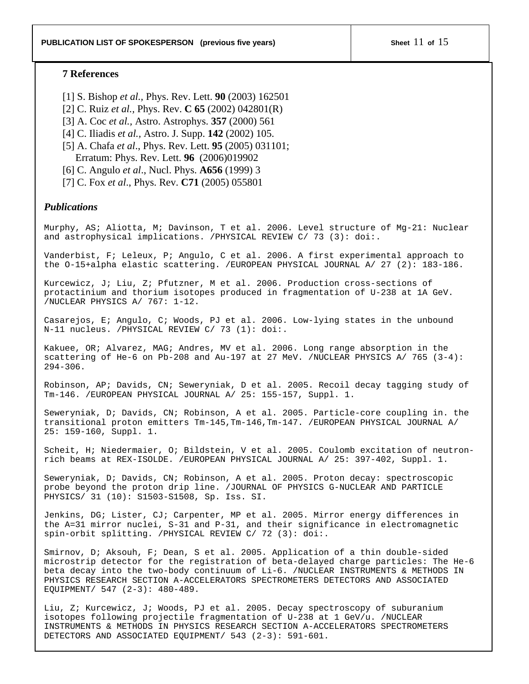### **7 References**

- [1] S. Bishop *et al.,* Phys. Rev. Lett. **90** (2003) 162501
- [2] C. Ruiz *et al.,* Phys. Rev. **C 65** (2002) 042801(R)
- [3] A. Coc *et al.,* Astro. Astrophys. **357** (2000) 561
- [4] C. Iliadis *et al.,* Astro. J. Supp. **142** (2002) 105.
- [5] A. Chafa *et al*., Phys. Rev. Lett. **95** (2005) 031101; Erratum: Phys. Rev. Lett. **96** (2006)019902
- [6] C. Angulo *et al*., Nucl. Phys. **A656** (1999) 3
- [7] C. Fox *et al*., Phys. Rev. **C71** (2005) 055801

### *Publications*

Murphy, AS; Aliotta, M; Davinson, T et al. 2006. Level structure of Mg-21: Nuclear and astrophysical implications. /PHYSICAL REVIEW C/ 73 (3): doi:.

Vanderbist, F; Leleux, P; Angulo, C et al. 2006. A first experimental approach to the O-15+alpha elastic scattering. /EUROPEAN PHYSICAL JOURNAL A/ 27 (2): 183-186.

Kurcewicz, J; Liu, Z; Pfutzner, M et al. 2006. Production cross-sections of protactinium and thorium isotopes produced in fragmentation of U-238 at 1A GeV. /NUCLEAR PHYSICS A/ 767: 1-12.

Casarejos, E; Angulo, C; Woods, PJ et al. 2006. Low-lying states in the unbound N-11 nucleus. /PHYSICAL REVIEW C/ 73 (1): doi:.

Kakuee, OR; Alvarez, MAG; Andres, MV et al. 2006. Long range absorption in the scattering of He-6 on Pb-208 and Au-197 at 27 MeV. /NUCLEAR PHYSICS A/ 765  $(3-4)$ : 294-306.

Robinson, AP; Davids, CN; Seweryniak, D et al. 2005. Recoil decay tagging study of Tm-146. /EUROPEAN PHYSICAL JOURNAL A/ 25: 155-157, Suppl. 1.

Seweryniak, D; Davids, CN; Robinson, A et al. 2005. Particle-core coupling in. the transitional proton emitters Tm-145,Tm-146,Tm-147. /EUROPEAN PHYSICAL JOURNAL A/ 25: 159-160, Suppl. 1.

Scheit, H; Niedermaier, O; Bildstein, V et al. 2005. Coulomb excitation of neutronrich beams at REX-ISOLDE. /EUROPEAN PHYSICAL JOURNAL A/ 25: 397-402, Suppl. 1.

Seweryniak, D; Davids, CN; Robinson, A et al. 2005. Proton decay: spectroscopic probe beyond the proton drip line. /JOURNAL OF PHYSICS G-NUCLEAR AND PARTICLE PHYSICS/ 31 (10): S1503-S1508, Sp. Iss. SI.

Jenkins, DG; Lister, CJ; Carpenter, MP et al. 2005. Mirror energy differences in the A=31 mirror nuclei, S-31 and P-31, and their significance in electromagnetic spin-orbit splitting. /PHYSICAL REVIEW C/ 72 (3): doi:.

Smirnov, D; Aksouh, F; Dean, S et al. 2005. Application of a thin double-sided microstrip detector for the registration of beta-delayed charge particles: The He-6 beta decay into the two-body continuum of Li-6. /NUCLEAR INSTRUMENTS & METHODS IN PHYSICS RESEARCH SECTION A-ACCELERATORS SPECTROMETERS DETECTORS AND ASSOCIATED EQUIPMENT/ 547 (2-3): 480-489.

Liu, Z; Kurcewicz, J; Woods, PJ et al. 2005. Decay spectroscopy of suburanium isotopes following projectile fragmentation of U-238 at 1 GeV/u. /NUCLEAR INSTRUMENTS & METHODS IN PHYSICS RESEARCH SECTION A-ACCELERATORS SPECTROMETERS DETECTORS AND ASSOCIATED EQUIPMENT/ 543 (2-3): 591-601.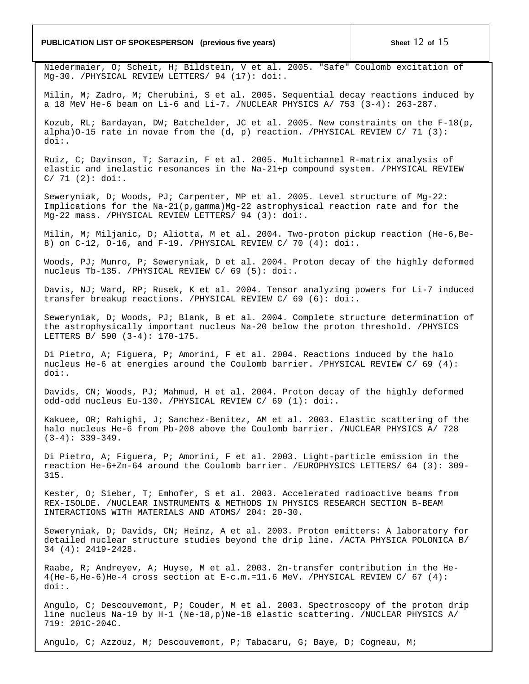#### **PUBLICATION LIST OF SPOKESPERSON** (previous five years) Sheet 12 of 15

Niedermaier, O; Scheit, H; Bildstein, V et al. 2005. "Safe" Coulomb excitation of Mg-30. /PHYSICAL REVIEW LETTERS/ 94 (17): doi:.

Milin, M; Zadro, M; Cherubini, S et al. 2005. Sequential decay reactions induced by a 18 MeV He-6 beam on Li-6 and Li-7. /NUCLEAR PHYSICS A/ 753 (3-4): 263-287.

Kozub, RL; Bardayan, DW; Batchelder, JC et al. 2005. New constraints on the F-18(p, alpha)O-15 rate in novae from the  $(d, p)$  reaction. /PHYSICAL REVIEW C/ 71  $(3)$ : doi:.

Ruiz, C; Davinson, T; Sarazin, F et al. 2005. Multichannel R-matrix analysis of elastic and inelastic resonances in the Na-21+p compound system. /PHYSICAL REVIEW  $C/ 71 (2): doi:$ 

Seweryniak, D; Woods, PJ; Carpenter, MP et al. 2005. Level structure of Mg-22: Implications for the Na-21(p,gamma)Mg-22 astrophysical reaction rate and for the Mg-22 mass. /PHYSICAL REVIEW LETTERS/ 94 (3): doi:.

Milin, M; Miljanic, D; Aliotta, M et al. 2004. Two-proton pickup reaction (He-6,Be-8) on C-12, O-16, and F-19. /PHYSICAL REVIEW C/ 70 (4): doi:.

Woods, PJ; Munro, P; Seweryniak, D et al. 2004. Proton decay of the highly deformed nucleus Tb-135. /PHYSICAL REVIEW C/ 69 (5): doi:.

Davis, NJ; Ward, RP; Rusek, K et al. 2004. Tensor analyzing powers for Li-7 induced transfer breakup reactions. /PHYSICAL REVIEW C/ 69 (6): doi:.

Seweryniak, D; Woods, PJ; Blank, B et al. 2004. Complete structure determination of the astrophysically important nucleus Na-20 below the proton threshold. /PHYSICS LETTERS B/ 590 (3-4): 170-175.

Di Pietro, A; Figuera, P; Amorini, F et al. 2004. Reactions induced by the halo nucleus He-6 at energies around the Coulomb barrier. /PHYSICAL REVIEW C/ 69 (4): doi:.

Davids, CN; Woods, PJ; Mahmud, H et al. 2004. Proton decay of the highly deformed odd-odd nucleus Eu-130. /PHYSICAL REVIEW C/ 69 (1): doi:.

Kakuee, OR; Rahighi, J; Sanchez-Benitez, AM et al. 2003. Elastic scattering of the halo nucleus He-6 from Pb-208 above the Coulomb barrier. /NUCLEAR PHYSICS A/ 728  $(3-4): 339-349.$ 

Di Pietro, A; Figuera, P; Amorini, F et al. 2003. Light-particle emission in the reaction He-6+Zn-64 around the Coulomb barrier. /EUROPHYSICS LETTERS/ 64 (3): 309- 315.

Kester, O; Sieber, T; Emhofer, S et al. 2003. Accelerated radioactive beams from REX-ISOLDE. /NUCLEAR INSTRUMENTS & METHODS IN PHYSICS RESEARCH SECTION B-BEAM INTERACTIONS WITH MATERIALS AND ATOMS/ 204: 20-30.

Seweryniak, D; Davids, CN; Heinz, A et al. 2003. Proton emitters: A laboratory for detailed nuclear structure studies beyond the drip line. /ACTA PHYSICA POLONICA B/ 34 (4): 2419-2428.

Raabe, R; Andreyev, A; Huyse, M et al. 2003. 2n-transfer contribution in the He-4(He-6,He-6)He-4 cross section at E-c.m.=11.6 MeV. /PHYSICAL REVIEW C/ 67 (4): doi:.

Angulo, C; Descouvemont, P; Couder, M et al. 2003. Spectroscopy of the proton drip line nucleus Na-19 by H-1 (Ne-18,p)Ne-18 elastic scattering. /NUCLEAR PHYSICS A/ 719: 201C-204C.

Angulo, C; Azzouz, M; Descouvemont, P; Tabacaru, G; Baye, D; Cogneau, M;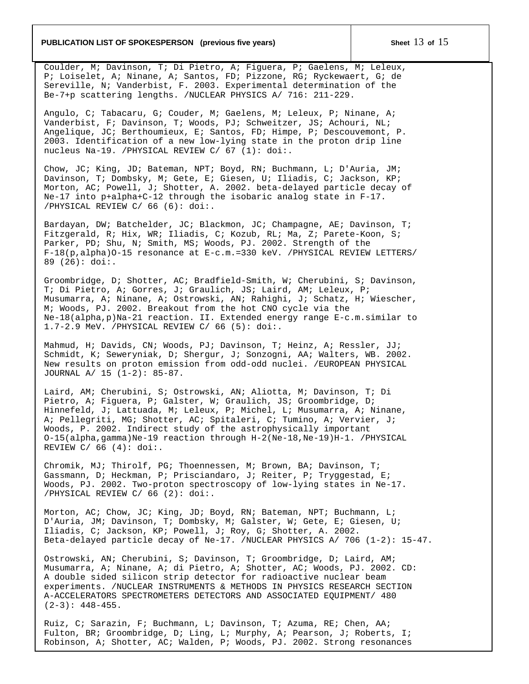### **PUBLICATION LIST OF SPOKESPERSON** (previous five years) Sheet 13 of 15

Coulder, M; Davinson, T; Di Pietro, A; Figuera, P; Gaelens, M; Leleux, P; Loiselet, A; Ninane, A; Santos, FD; Pizzone, RG; Ryckewaert, G; de Sereville, N; Vanderbist, F. 2003. Experimental determination of the Be-7+p scattering lengths. /NUCLEAR PHYSICS A/ 716: 211-229.

Angulo, C; Tabacaru, G; Couder, M; Gaelens, M; Leleux, P; Ninane, A; Vanderbist, F; Davinson, T; Woods, PJ; Schweitzer, JS; Achouri, NL; Angelique, JC; Berthoumieux, E; Santos, FD; Himpe, P; Descouvemont, P. 2003. Identification of a new low-lying state in the proton drip line nucleus Na-19. /PHYSICAL REVIEW C/ 67 (1): doi:.

Chow, JC; King, JD; Bateman, NPT; Boyd, RN; Buchmann, L; D'Auria, JM; Davinson, T; Dombsky, M; Gete, E; Giesen, U; Iliadis, C; Jackson, KP; Morton, AC; Powell, J; Shotter, A. 2002. beta-delayed particle decay of Ne-17 into p+alpha+C-12 through the isobaric analog state in F-17. /PHYSICAL REVIEW C/ 66 (6): doi:.

Bardayan, DW; Batchelder, JC; Blackmon, JC; Champagne, AE; Davinson, T; Fitzgerald, R; Hix, WR; Iliadis, C; Kozub, RL; Ma, Z; Parete-Koon, S; Parker, PD; Shu, N; Smith, MS; Woods, PJ. 2002. Strength of the F-18(p,alpha)O-15 resonance at E-c.m.=330 keV. /PHYSICAL REVIEW LETTERS/ 89 (26): doi:.

Groombridge, D; Shotter, AC; Bradfield-Smith, W; Cherubini, S; Davinson, T; Di Pietro, A; Gorres, J; Graulich, JS; Laird, AM; Leleux, P; Musumarra, A; Ninane, A; Ostrowski, AN; Rahighi, J; Schatz, H; Wiescher, M; Woods, PJ. 2002. Breakout from the hot CNO cycle via the Ne-18(alpha,p)Na-21 reaction. II. Extended energy range E-c.m.similar to 1.7-2.9 MeV. /PHYSICAL REVIEW C/ 66 (5): doi:.

Mahmud, H; Davids, CN; Woods, PJ; Davinson, T; Heinz, A; Ressler, JJ; Schmidt, K; Seweryniak, D; Shergur, J; Sonzogni, AA; Walters, WB. 2002. New results on proton emission from odd-odd nuclei. /EUROPEAN PHYSICAL JOURNAL A/ 15 (1-2): 85-87.

Laird, AM; Cherubini, S; Ostrowski, AN; Aliotta, M; Davinson, T; Di Pietro, A; Figuera, P; Galster, W; Graulich, JS; Groombridge, D; Hinnefeld, J; Lattuada, M; Leleux, P; Michel, L; Musumarra, A; Ninane, A; Pellegriti, MG; Shotter, AC; Spitaleri, C; Tumino, A; Vervier, J; Woods, P. 2002. Indirect study of the astrophysically important O-15(alpha,gamma)Ne-19 reaction through H-2(Ne-18,Ne-19)H-1. /PHYSICAL REVIEW  $C/ 66 (4):$  doi:.

Chromik, MJ; Thirolf, PG; Thoennessen, M; Brown, BA; Davinson, T; Gassmann, D; Heckman, P; Prisciandaro, J; Reiter, P; Tryggestad, E; Woods, PJ. 2002. Two-proton spectroscopy of low-lying states in Ne-17. /PHYSICAL REVIEW C/ 66 (2): doi:.

Morton, AC; Chow, JC; King, JD; Boyd, RN; Bateman, NPT; Buchmann, L; D'Auria, JM; Davinson, T; Dombsky, M; Galster, W; Gete, E; Giesen, U; Iliadis, C; Jackson, KP; Powell, J; Roy, G; Shotter, A. 2002. Beta-delayed particle decay of Ne-17. /NUCLEAR PHYSICS A/ 706 (1-2): 15-47.

Ostrowski, AN; Cherubini, S; Davinson, T; Groombridge, D; Laird, AM; Musumarra, A; Ninane, A; di Pietro, A; Shotter, AC; Woods, PJ. 2002. CD: A double sided silicon strip detector for radioactive nuclear beam experiments. /NUCLEAR INSTRUMENTS & METHODS IN PHYSICS RESEARCH SECTION A-ACCELERATORS SPECTROMETERS DETECTORS AND ASSOCIATED EQUIPMENT/ 480  $(2-3): 448-455.$ 

Ruiz, C; Sarazin, F; Buchmann, L; Davinson, T; Azuma, RE; Chen, AA; Fulton, BR; Groombridge, D; Ling, L; Murphy, A; Pearson, J; Roberts, I; Robinson, A; Shotter, AC; Walden, P; Woods, PJ. 2002. Strong resonances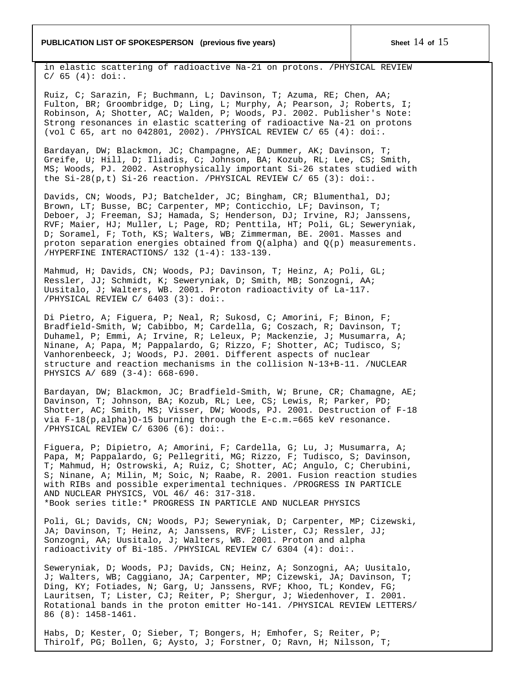#### **PUBLICATION LIST OF SPOKESPERSON** (previous five years) Sheet 14 of 15

in elastic scattering of radioactive Na-21 on protons. /PHYSICAL REVIEW  $C/ 65 (4): doi:$ 

Ruiz, C; Sarazin, F; Buchmann, L; Davinson, T; Azuma, RE; Chen, AA; Fulton, BR; Groombridge, D; Ling, L; Murphy, A; Pearson, J; Roberts, I; Robinson, A; Shotter, AC; Walden, P; Woods, PJ. 2002. Publisher's Note: Strong resonances in elastic scattering of radioactive Na-21 on protons (vol C 65, art no 042801, 2002). /PHYSICAL REVIEW C/ 65 (4): doi:.

Bardayan, DW; Blackmon, JC; Champagne, AE; Dummer, AK; Davinson, T; Greife, U; Hill, D; Iliadis, C; Johnson, BA; Kozub, RL; Lee, CS; Smith, MS; Woods, PJ. 2002. Astrophysically important Si-26 states studied with the Si-28(p,t) Si-26 reaction. /PHYSICAL REVIEW C/ 65 (3): doi:.

Davids, CN; Woods, PJ; Batchelder, JC; Bingham, CR; Blumenthal, DJ; Brown, LT; Busse, BC; Carpenter, MP; Conticchio, LF; Davinson, T; Deboer, J; Freeman, SJ; Hamada, S; Henderson, DJ; Irvine, RJ; Janssens, RVF; Maier, HJ; Muller, L; Page, RD; Penttila, HT; Poli, GL; Seweryniak, D; Soramel, F; Toth, KS; Walters, WB; Zimmerman, BE. 2001. Masses and proton separation energies obtained from Q(alpha) and Q(p) measurements. /HYPERFINE INTERACTIONS/ 132 (1-4): 133-139.

Mahmud, H; Davids, CN; Woods, PJ; Davinson, T; Heinz, A; Poli, GL; Ressler, JJ; Schmidt, K; Seweryniak, D; Smith, MB; Sonzogni, AA; Uusitalo, J; Walters, WB. 2001. Proton radioactivity of La-117. /PHYSICAL REVIEW C/ 6403 (3): doi:.

Di Pietro, A; Figuera, P; Neal, R; Sukosd, C; Amorini, F; Binon, F; Bradfield-Smith, W; Cabibbo, M; Cardella, G; Coszach, R; Davinson, T; Duhamel, P; Emmi, A; Irvine, R; Leleux, P; Mackenzie, J; Musumarra, A; Ninane, A; Papa, M; Pappalardo, G; Rizzo, F; Shotter, AC; Tudisco, S; Vanhorenbeeck, J; Woods, PJ. 2001. Different aspects of nuclear structure and reaction mechanisms in the collision N-13+B-11. /NUCLEAR PHYSICS A/ 689 (3-4): 668-690.

Bardayan, DW; Blackmon, JC; Bradfield-Smith, W; Brune, CR; Chamagne, AE; Davinson, T; Johnson, BA; Kozub, RL; Lee, CS; Lewis, R; Parker, PD; Shotter, AC; Smith, MS; Visser, DW; Woods, PJ. 2001. Destruction of F-18 via F-18(p,alpha)O-15 burning through the E-c.m.=665 keV resonance. /PHYSICAL REVIEW C/ 6306 (6): doi:.

Figuera, P; Dipietro, A; Amorini, F; Cardella, G; Lu, J; Musumarra, A; Papa, M; Pappalardo, G; Pellegriti, MG; Rizzo, F; Tudisco, S; Davinson, T; Mahmud, H; Ostrowski, A; Ruiz, C; Shotter, AC; Angulo, C; Cherubini, S; Ninane, A; Milin, M; Soic, N; Raabe, R. 2001. Fusion reaction studies with RIBs and possible experimental techniques. /PROGRESS IN PARTICLE AND NUCLEAR PHYSICS, VOL 46/ 46: 317-318. \*Book series title:\* PROGRESS IN PARTICLE AND NUCLEAR PHYSICS

Poli, GL; Davids, CN; Woods, PJ; Seweryniak, D; Carpenter, MP; Cizewski, JA; Davinson, T; Heinz, A; Janssens, RVF; Lister, CJ; Ressler, JJ; Sonzogni, AA; Uusitalo, J; Walters, WB. 2001. Proton and alpha radioactivity of Bi-185. /PHYSICAL REVIEW C/ 6304 (4): doi:.

Seweryniak, D; Woods, PJ; Davids, CN; Heinz, A; Sonzogni, AA; Uusitalo, J; Walters, WB; Caggiano, JA; Carpenter, MP; Cizewski, JA; Davinson, T; Ding, KY; Fotiades, N; Garg, U; Janssens, RVF; Khoo, TL; Kondev, FG; Lauritsen, T; Lister, CJ; Reiter, P; Shergur, J; Wiedenhover, I. 2001. Rotational bands in the proton emitter Ho-141. /PHYSICAL REVIEW LETTERS/ 86 (8): 1458-1461.

Habs, D; Kester, O; Sieber, T; Bongers, H; Emhofer, S; Reiter, P; Thirolf, PG; Bollen, G; Aysto, J; Forstner, O; Ravn, H; Nilsson, T;